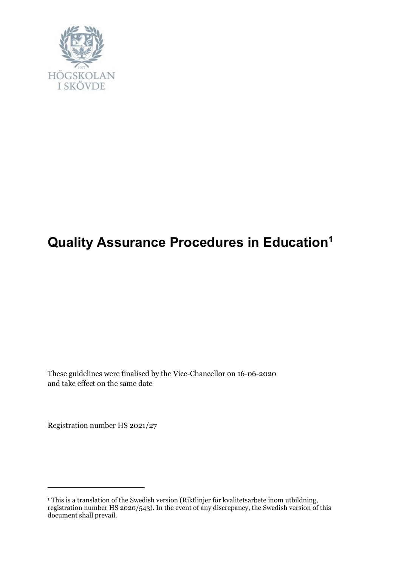

# **Quality Assurance Procedures in Education<sup>1</sup>**

These guidelines were finalised by the Vice-Chancellor on 16-06-2020 and take effect on the same date

Registration number HS 2021/27

 $\overline{a}$ 

<sup>1</sup> This is a translation of the Swedish version (Riktlinjer för kvalitetsarbete inom utbildning, registration number HS 2020/543). In the event of any discrepancy, the Swedish version of this document shall prevail.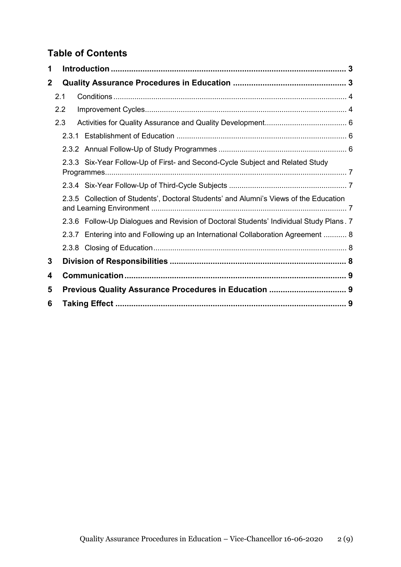# **Table of Contents**

| 1           |     |                                                                                        |  |
|-------------|-----|----------------------------------------------------------------------------------------|--|
| $\mathbf 2$ |     |                                                                                        |  |
|             | 2.1 |                                                                                        |  |
|             | 2.2 |                                                                                        |  |
|             | 2.3 |                                                                                        |  |
|             |     |                                                                                        |  |
|             |     |                                                                                        |  |
|             |     | 2.3.3 Six-Year Follow-Up of First- and Second-Cycle Subject and Related Study          |  |
|             |     |                                                                                        |  |
|             |     | 2.3.5 Collection of Students', Doctoral Students' and Alumni's Views of the Education  |  |
|             |     | 2.3.6 Follow-Up Dialogues and Revision of Doctoral Students' Individual Study Plans. 7 |  |
|             |     | 2.3.7 Entering into and Following up an International Collaboration Agreement  8       |  |
|             |     |                                                                                        |  |
| 3           |     |                                                                                        |  |
| 4           |     |                                                                                        |  |
| 5           |     |                                                                                        |  |
| 6           |     |                                                                                        |  |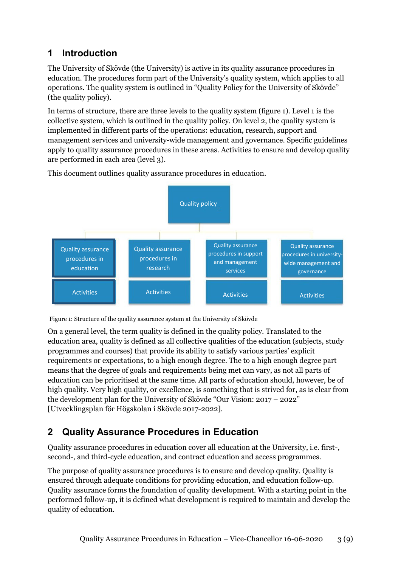# <span id="page-2-0"></span>**1 Introduction**

The University of Skövde (the University) is active in its quality assurance procedures in education. The procedures form part of the University's quality system, which applies to all operations. The quality system is outlined in "Quality Policy for the University of Skövde" (the quality policy).

In terms of structure, there are three levels to the quality system (figure 1). Level 1 is the collective system, which is outlined in the quality policy. On level 2, the quality system is implemented in different parts of the operations: education, research, support and management services and university-wide management and governance. Specific guidelines apply to quality assurance procedures in these areas. Activities to ensure and develop quality are performed in each area (level 3).



This document outlines quality assurance procedures in education.



On a general level, the term quality is defined in the quality policy. Translated to the education area, quality is defined as all collective qualities of the education (subjects, study programmes and courses) that provide its ability to satisfy various parties' explicit requirements or expectations, to a high enough degree. The to a high enough degree part means that the degree of goals and requirements being met can vary, as not all parts of education can be prioritised at the same time. All parts of education should, however, be of high quality. Very high quality, or excellence, is something that is strived for, as is clear from the development plan for the University of Skövde "Our Vision: 2017 – 2022" [Utvecklingsplan för Högskolan i Skövde 2017-2022].

# <span id="page-2-1"></span>**2 Quality Assurance Procedures in Education**

Quality assurance procedures in education cover all education at the University, i.e. first-, second-, and third-cycle education, and contract education and access programmes.

The purpose of quality assurance procedures is to ensure and develop quality. Quality is ensured through adequate conditions for providing education, and education follow-up. Quality assurance forms the foundation of quality development. With a starting point in the performed follow-up, it is defined what development is required to maintain and develop the quality of education.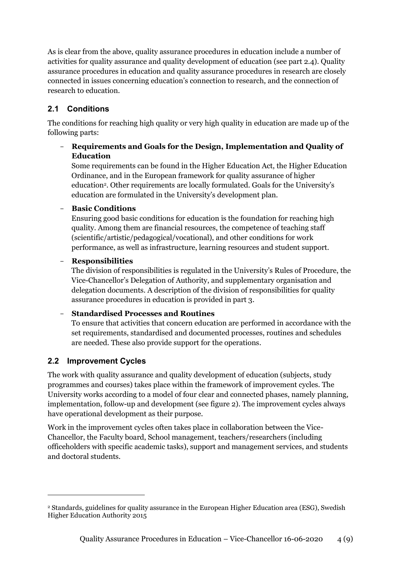As is clear from the above, quality assurance procedures in education include a number of activities for quality assurance and quality development of education (see part 2.4). Quality assurance procedures in education and quality assurance procedures in research are closely connected in issues concerning education's connection to research, and the connection of research to education.

#### <span id="page-3-0"></span>**2.1 Conditions**

The conditions for reaching high quality or very high quality in education are made up of the following parts:

#### - **Requirements and Goals for the Design, Implementation and Quality of Education**

Some requirements can be found in the Higher Education Act, the Higher Education Ordinance, and in the European framework for quality assurance of higher education<sup>2</sup>. Other requirements are locally formulated. Goals for the University's education are formulated in the University's development plan.

#### - **Basic Conditions**

Ensuring good basic conditions for education is the foundation for reaching high quality. Among them are financial resources, the competence of teaching staff (scientific/artistic/pedagogical/vocational), and other conditions for work performance, as well as infrastructure, learning resources and student support.

#### - **Responsibilities**

The division of responsibilities is regulated in the University's Rules of Procedure, the Vice-Chancellor's Delegation of Authority, and supplementary organisation and delegation documents. A description of the division of responsibilities for quality assurance procedures in education is provided in part 3.

#### - **Standardised Processes and Routines**

To ensure that activities that concern education are performed in accordance with the set requirements, standardised and documented processes, routines and schedules are needed. These also provide support for the operations.

### <span id="page-3-1"></span>**2.2 Improvement Cycles**

 $\overline{a}$ 

The work with quality assurance and quality development of education (subjects, study programmes and courses) takes place within the framework of improvement cycles. The University works according to a model of four clear and connected phases, namely planning, implementation, follow-up and development (see figure 2). The improvement cycles always have operational development as their purpose.

Work in the improvement cycles often takes place in collaboration between the Vice-Chancellor, the Faculty board, School management, teachers/researchers (including officeholders with specific academic tasks), support and management services, and students and doctoral students.

<sup>2</sup> Standards, guidelines for quality assurance in the European Higher Education area (ESG), Swedish Higher Education Authority 2015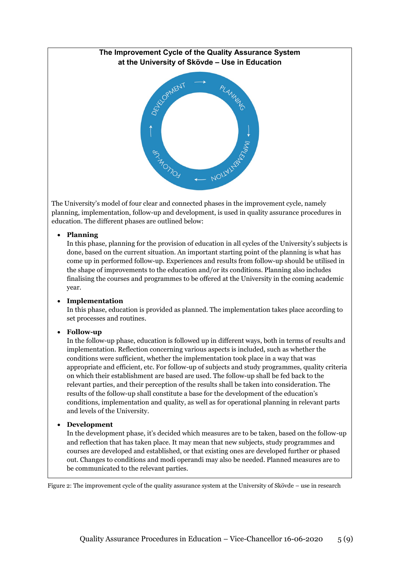#### **The Improvement Cycle of the Quality Assurance System at the University of Skövde – Use in Education**



The University's model of four clear and connected phases in the improvement cycle, namely planning, implementation, follow-up and development, is used in quality assurance procedures in education. The different phases are outlined below:

#### **Planning**

In this phase, planning for the provision of education in all cycles of the University's subjects is done, based on the current situation. An important starting point of the planning is what has come up in performed follow-up. Experiences and results from follow-up should be utilised in the shape of improvements to the education and/or its conditions. Planning also includes finalising the courses and programmes to be offered at the University in the coming academic year.

#### **Implementation**

In this phase, education is provided as planned. The implementation takes place according to set processes and routines.

#### **Follow-up**

In the follow-up phase, education is followed up in different ways, both in terms of results and implementation. Reflection concerning various aspects is included, such as whether the conditions were sufficient, whether the implementation took place in a way that was appropriate and efficient, etc. For follow-up of subjects and study programmes, quality criteria on which their establishment are based are used. The follow-up shall be fed back to the relevant parties, and their perception of the results shall be taken into consideration. The results of the follow-up shall constitute a base for the development of the education's conditions, implementation and quality, as well as for operational planning in relevant parts and levels of the University.

#### **Development**

In the development phase, it's decided which measures are to be taken, based on the follow-up and reflection that has taken place. It may mean that new subjects, study programmes and courses are developed and established, or that existing ones are developed further or phased out. Changes to conditions and modi operandi may also be needed. Planned measures are to be communicated to the relevant parties.

Figure 2: The improvement cycle of the quality assurance system at the University of Skövde – use in research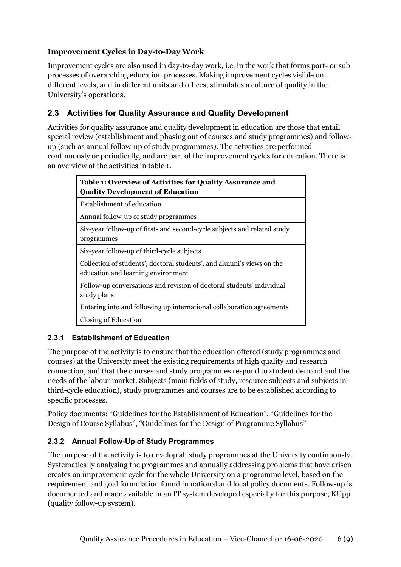#### **Improvement Cycles in Day-to-Day Work**

Improvement cycles are also used in day-to-day work, i.e. in the work that forms part- or sub processes of overarching education processes. Making improvement cycles visible on different levels, and in different units and offices, stimulates a culture of quality in the University's operations.

#### <span id="page-5-0"></span>**2.3 Activities for Quality Assurance and Quality Development**

Activities for quality assurance and quality development in education are those that entail special review (establishment and phasing out of courses and study programmes) and followup (such as annual follow-up of study programmes). The activities are performed continuously or periodically, and are part of the improvement cycles for education. There is an overview of the activities in table 1.

| Table 1: Overview of Activities for Quality Assurance and<br><b>Quality Development of Education</b>         |  |  |
|--------------------------------------------------------------------------------------------------------------|--|--|
| Establishment of education                                                                                   |  |  |
| Annual follow-up of study programmes                                                                         |  |  |
| Six-year follow-up of first- and second-cycle subjects and related study<br>programmes                       |  |  |
| Six-year follow-up of third-cycle subjects                                                                   |  |  |
| Collection of students', doctoral students', and alumni's views on the<br>education and learning environment |  |  |
| Follow-up conversations and revision of doctoral students' individual<br>study plans                         |  |  |
| Entering into and following up international collaboration agreements                                        |  |  |
| Closing of Education                                                                                         |  |  |

#### <span id="page-5-1"></span>**2.3.1 Establishment of Education**

The purpose of the activity is to ensure that the education offered (study programmes and courses) at the University meet the existing requirements of high quality and research connection, and that the courses and study programmes respond to student demand and the needs of the labour market. Subjects (main fields of study, resource subjects and subjects in third-cycle education), study programmes and courses are to be established according to specific processes.

Policy documents: "Guidelines for the Establishment of Education", "Guidelines for the Design of Course Syllabus", "Guidelines for the Design of Programme Syllabus"

#### <span id="page-5-2"></span>**2.3.2 Annual Follow-Up of Study Programmes**

The purpose of the activity is to develop all study programmes at the University continuously. Systematically analysing the programmes and annually addressing problems that have arisen creates an improvement cycle for the whole University on a programme level, based on the requirement and goal formulation found in national and local policy documents. Follow-up is documented and made available in an IT system developed especially for this purpose, KUpp (quality follow-up system).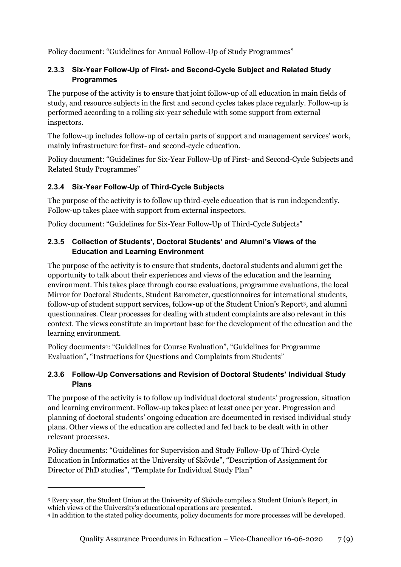Policy document: "Guidelines for Annual Follow-Up of Study Programmes"

#### <span id="page-6-0"></span>**2.3.3 Six-Year Follow-Up of First- and Second-Cycle Subject and Related Study Programmes**

The purpose of the activity is to ensure that joint follow-up of all education in main fields of study, and resource subjects in the first and second cycles takes place regularly. Follow-up is performed according to a rolling six-year schedule with some support from external inspectors.

The follow-up includes follow-up of certain parts of support and management services' work, mainly infrastructure for first- and second-cycle education.

Policy document: "Guidelines for Six-Year Follow-Up of First- and Second-Cycle Subjects and Related Study Programmes"

#### <span id="page-6-1"></span>**2.3.4 Six-Year Follow-Up of Third-Cycle Subjects**

The purpose of the activity is to follow up third-cycle education that is run independently. Follow-up takes place with support from external inspectors.

Policy document: "Guidelines for Six-Year Follow-Up of Third-Cycle Subjects"

#### <span id="page-6-2"></span>**2.3.5 Collection of Students', Doctoral Students' and Alumni's Views of the Education and Learning Environment**

The purpose of the activity is to ensure that students, doctoral students and alumni get the opportunity to talk about their experiences and views of the education and the learning environment. This takes place through course evaluations, programme evaluations, the local Mirror for Doctoral Students, Student Barometer, questionnaires for international students, follow-up of student support services, follow-up of the Student Union's Report<sup>3</sup> , and alumni questionnaires. Clear processes for dealing with student complaints are also relevant in this context. The views constitute an important base for the development of the education and the learning environment.

Policy documents<sup>4</sup>: "Guidelines for Course Evaluation", "Guidelines for Programme Evaluation", "Instructions for Questions and Complaints from Students"

#### <span id="page-6-3"></span>**2.3.6 Follow-Up Conversations and Revision of Doctoral Students' Individual Study Plans**

The purpose of the activity is to follow up individual doctoral students' progression, situation and learning environment. Follow-up takes place at least once per year. Progression and planning of doctoral students' ongoing education are documented in revised individual study plans. Other views of the education are collected and fed back to be dealt with in other relevant processes.

Policy documents: "Guidelines for Supervision and Study Follow-Up of Third-Cycle Education in Informatics at the University of Skövde", "Description of Assignment for Director of PhD studies", "Template for Individual Study Plan"

 $\overline{a}$ 

<sup>3</sup> Every year, the Student Union at the University of Skövde compiles a Student Union's Report, in which views of the University's educational operations are presented.

<sup>4</sup> In addition to the stated policy documents, policy documents for more processes will be developed.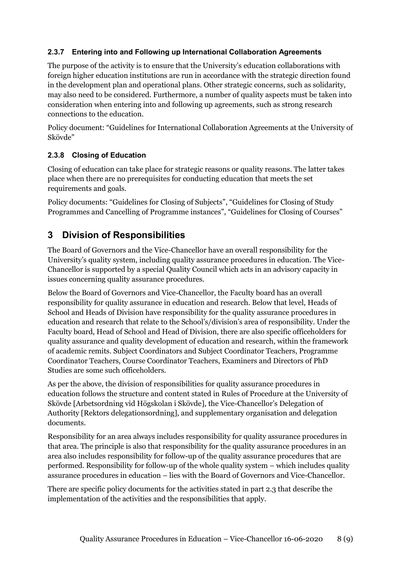#### <span id="page-7-0"></span>**2.3.7 Entering into and Following up International Collaboration Agreements**

The purpose of the activity is to ensure that the University's education collaborations with foreign higher education institutions are run in accordance with the strategic direction found in the development plan and operational plans. Other strategic concerns, such as solidarity, may also need to be considered. Furthermore, a number of quality aspects must be taken into consideration when entering into and following up agreements, such as strong research connections to the education.

Policy document: "Guidelines for International Collaboration Agreements at the University of Skövde"

#### <span id="page-7-1"></span>**2.3.8 Closing of Education**

Closing of education can take place for strategic reasons or quality reasons. The latter takes place when there are no prerequisites for conducting education that meets the set requirements and goals.

Policy documents: "Guidelines for Closing of Subjects", "Guidelines for Closing of Study Programmes and Cancelling of Programme instances", "Guidelines for Closing of Courses"

### <span id="page-7-2"></span>**3 Division of Responsibilities**

The Board of Governors and the Vice-Chancellor have an overall responsibility for the University's quality system, including quality assurance procedures in education. The Vice-Chancellor is supported by a special Quality Council which acts in an advisory capacity in issues concerning quality assurance procedures.

Below the Board of Governors and Vice-Chancellor, the Faculty board has an overall responsibility for quality assurance in education and research. Below that level, Heads of School and Heads of Division have responsibility for the quality assurance procedures in education and research that relate to the School's/division's area of responsibility. Under the Faculty board, Head of School and Head of Division, there are also specific officeholders for quality assurance and quality development of education and research, within the framework of academic remits. Subject Coordinators and Subject Coordinator Teachers, Programme Coordinator Teachers, Course Coordinator Teachers, Examiners and Directors of PhD Studies are some such officeholders.

As per the above, the division of responsibilities for quality assurance procedures in education follows the structure and content stated in Rules of Procedure at the University of Skövde [Arbetsordning vid Högskolan i Skövde], the Vice-Chancellor's Delegation of Authority [Rektors delegationsordning], and supplementary organisation and delegation documents.

Responsibility for an area always includes responsibility for quality assurance procedures in that area. The principle is also that responsibility for the quality assurance procedures in an area also includes responsibility for follow-up of the quality assurance procedures that are performed. Responsibility for follow-up of the whole quality system – which includes quality assurance procedures in education – lies with the Board of Governors and Vice-Chancellor.

There are specific policy documents for the activities stated in part 2.3 that describe the implementation of the activities and the responsibilities that apply.